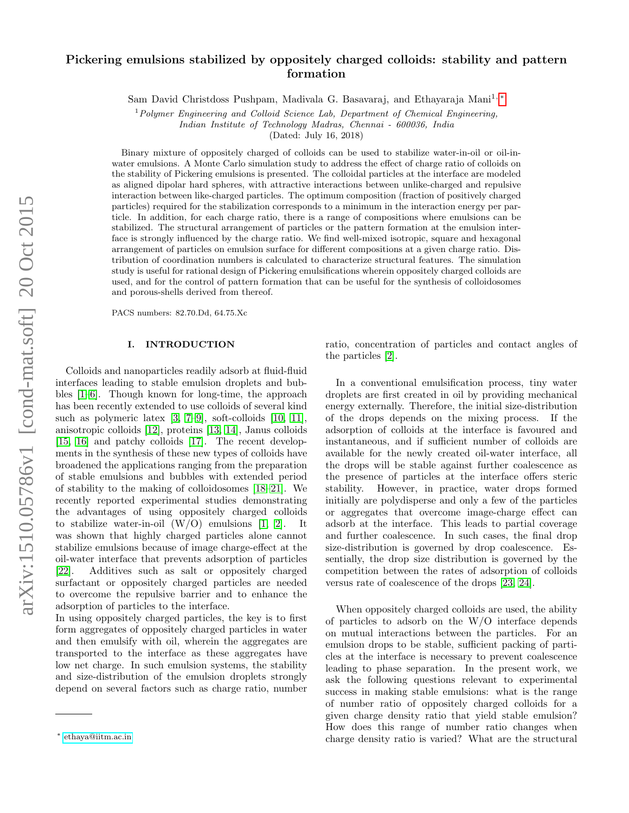# Pickering emulsions stabilized by oppositely charged colloids: stability and pattern formation

Sam David Christdoss Pushpam, Madivala G. Basavaraj, and Ethayaraja Mani<sup>1,[∗](#page-0-0)</sup>

 $1$ Polymer Engineering and Colloid Science Lab, Department of Chemical Engineering, Indian Institute of Technology Madras, Chennai - 600036, India

(Dated: July 16, 2018)

Binary mixture of oppositely charged of colloids can be used to stabilize water-in-oil or oil-inwater emulsions. A Monte Carlo simulation study to address the effect of charge ratio of colloids on the stability of Pickering emulsions is presented. The colloidal particles at the interface are modeled as aligned dipolar hard spheres, with attractive interactions between unlike-charged and repulsive interaction between like-charged particles. The optimum composition (fraction of positively charged particles) required for the stabilization corresponds to a minimum in the interaction energy per particle. In addition, for each charge ratio, there is a range of compositions where emulsions can be stabilized. The structural arrangement of particles or the pattern formation at the emulsion interface is strongly influenced by the charge ratio. We find well-mixed isotropic, square and hexagonal arrangement of particles on emulsion surface for different compositions at a given charge ratio. Distribution of coordination numbers is calculated to characterize structural features. The simulation study is useful for rational design of Pickering emulsifications wherein oppositely charged colloids are used, and for the control of pattern formation that can be useful for the synthesis of colloidosomes and porous-shells derived from thereof.

PACS numbers: 82.70.Dd, 64.75.Xc

#### I. INTRODUCTION

Colloids and nanoparticles readily adsorb at fluid-fluid interfaces leading to stable emulsion droplets and bubbles [\[1–](#page-5-0)[6\]](#page-5-1). Though known for long-time, the approach has been recently extended to use colloids of several kind such as polymeric latex [\[3,](#page-5-2) [7–](#page-5-3)[9\]](#page-5-4), soft-colloids [\[10,](#page-5-5) [11\]](#page-5-6), anisotropic colloids [\[12\]](#page-5-7), proteins [\[13,](#page-5-8) [14\]](#page-5-9), Janus colloids [\[15,](#page-5-10) [16\]](#page-5-11) and patchy colloids [\[17\]](#page-5-12). The recent developments in the synthesis of these new types of colloids have broadened the applications ranging from the preparation of stable emulsions and bubbles with extended period of stability to the making of colloidosomes [\[18–](#page-6-0)[21\]](#page-6-1). We recently reported experimental studies demonstrating the advantages of using oppositely charged colloids to stabilize water-in-oil  $(W/O)$  emulsions [\[1,](#page-5-0) [2\]](#page-5-13). It was shown that highly charged particles alone cannot stabilize emulsions because of image charge-effect at the oil-water interface that prevents adsorption of particles [\[22\]](#page-6-2). Additives such as salt or oppositely charged surfactant or oppositely charged particles are needed to overcome the repulsive barrier and to enhance the adsorption of particles to the interface.

In using oppositely charged particles, the key is to first form aggregates of oppositely charged particles in water and then emulsify with oil, wherein the aggregates are transported to the interface as these aggregates have low net charge. In such emulsion systems, the stability and size-distribution of the emulsion droplets strongly depend on several factors such as charge ratio, number

ratio, concentration of particles and contact angles of the particles [\[2\]](#page-5-13).

In a conventional emulsification process, tiny water droplets are first created in oil by providing mechanical energy externally. Therefore, the initial size-distribution of the drops depends on the mixing process. If the adsorption of colloids at the interface is favoured and instantaneous, and if sufficient number of colloids are available for the newly created oil-water interface, all the drops will be stable against further coalescence as the presence of particles at the interface offers steric stability. However, in practice, water drops formed initially are polydisperse and only a few of the particles or aggregates that overcome image-charge effect can adsorb at the interface. This leads to partial coverage and further coalescence. In such cases, the final drop size-distribution is governed by drop coalescence. Essentially, the drop size distribution is governed by the competition between the rates of adsorption of colloids versus rate of coalescence of the drops [\[23,](#page-6-3) [24\]](#page-6-4).

When oppositely charged colloids are used, the ability of particles to adsorb on the W/O interface depends on mutual interactions between the particles. For an emulsion drops to be stable, sufficient packing of particles at the interface is necessary to prevent coalescence leading to phase separation. In the present work, we ask the following questions relevant to experimental success in making stable emulsions: what is the range of number ratio of oppositely charged colloids for a given charge density ratio that yield stable emulsion? How does this range of number ratio changes when charge density ratio is varied? What are the structural

<span id="page-0-0"></span><sup>∗</sup> [ethaya@iitm.ac.in](mailto:ethaya@iitm.ac.in)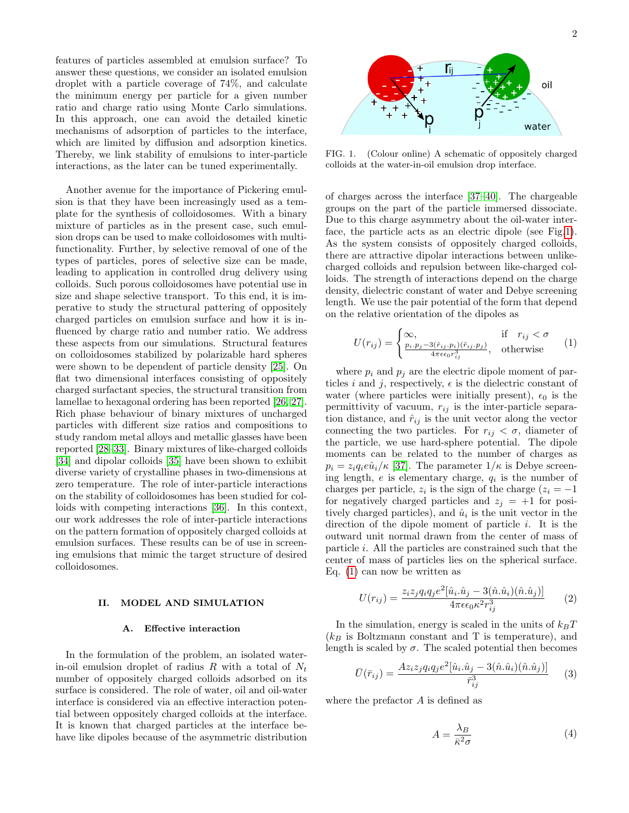features of particles assembled at emulsion surface? To answer these questions, we consider an isolated emulsion droplet with a particle coverage of 74%, and calculate the minimum energy per particle for a given number ratio and charge ratio using Monte Carlo simulations. In this approach, one can avoid the detailed kinetic mechanisms of adsorption of particles to the interface, which are limited by diffusion and adsorption kinetics. Thereby, we link stability of emulsions to inter-particle interactions, as the later can be tuned experimentally.

Another avenue for the importance of Pickering emulsion is that they have been increasingly used as a template for the synthesis of colloidosomes. With a binary mixture of particles as in the present case, such emulsion drops can be used to make colloidosomes with multifunctionality. Further, by selective removal of one of the types of particles, pores of selective size can be made, leading to application in controlled drug delivery using colloids. Such porous colloidosomes have potential use in size and shape selective transport. To this end, it is imperative to study the structural pattering of oppositely charged particles on emulsion surface and how it is influenced by charge ratio and number ratio. We address these aspects from our simulations. Structural features on colloidosomes stabilized by polarizable hard spheres were shown to be dependent of particle density [\[25\]](#page-6-5). On flat two dimensional interfaces consisting of oppositely charged surfactant species, the structural transition from lamellae to hexagonal ordering has been reported [\[26,](#page-6-6) [27\]](#page-6-7). Rich phase behaviour of binary mixtures of uncharged particles with different size ratios and compositions to study random metal alloys and metallic glasses have been reported [\[28–](#page-6-8)[33\]](#page-6-9). Binary mixtures of like-charged colloids [\[34\]](#page-6-10) and dipolar colloids [\[35\]](#page-6-11) have been shown to exhibit diverse variety of crystalline phases in two-dimensions at zero temperature. The role of inter-particle interactions on the stability of colloidosomes has been studied for colloids with competing interactions [\[36\]](#page-6-12). In this context, our work addresses the role of inter-particle interactions on the pattern formation of oppositely charged colloids at emulsion surfaces. These results can be of use in screening emulsions that mimic the target structure of desired colloidosomes.

## II. MODEL AND SIMULATION

#### A. Effective interaction

In the formulation of the problem, an isolated waterin-oil emulsion droplet of radius R with a total of  $N_t$ number of oppositely charged colloids adsorbed on its surface is considered. The role of water, oil and oil-water interface is considered via an effective interaction potential between oppositely charged colloids at the interface. It is known that charged particles at the interface behave like dipoles because of the asymmetric distribution



<span id="page-1-0"></span>FIG. 1. (Colour online) A schematic of oppositely charged colloids at the water-in-oil emulsion drop interface.

of charges across the interface [\[37–](#page-6-13)[40\]](#page-6-14). The chargeable groups on the part of the particle immersed dissociate. Due to this charge asymmetry about the oil-water interface, the particle acts as an electric dipole (see Fig[.1\)](#page-1-0). As the system consists of oppositely charged colloids, there are attractive dipolar interactions between unlikecharged colloids and repulsion between like-charged colloids. The strength of interactions depend on the charge density, dielectric constant of water and Debye screening length. We use the pair potential of the form that depend on the relative orientation of the dipoles as

<span id="page-1-1"></span>
$$
U(r_{ij}) = \begin{cases} \infty, & \text{if } r_{ij} < \sigma\\ \frac{p_i \cdot p_j - 3(\hat{r}_{ij} \cdot p_i)(\hat{r}_{ij} \cdot p_j)}{4\pi\epsilon\epsilon_0 r_{ij}^3}, & \text{otherwise} \end{cases}
$$
 (1)

where  $p_i$  and  $p_j$  are the electric dipole moment of particles i and j, respectively,  $\epsilon$  is the dielectric constant of water (where particles were initially present),  $\epsilon_0$  is the permittivity of vacuum,  $r_{ij}$  is the inter-particle separation distance, and  $\hat{r}_{ij}$  is the unit vector along the vector connecting the two particles. For  $r_{ij} < \sigma$ , diameter of the particle, we use hard-sphere potential. The dipole moments can be related to the number of charges as  $p_i = z_i q_i e \hat{u}_i/\kappa$  [\[37\]](#page-6-13). The parameter  $1/\kappa$  is Debye screening length,  $e$  is elementary charge,  $q_i$  is the number of charges per particle,  $z_i$  is the sign of the charge  $(z_i = -1)$ for negatively charged particles and  $z_j = +1$  for positively charged particles), and  $\hat{u}_i$  is the unit vector in the direction of the dipole moment of particle i. It is the outward unit normal drawn from the center of mass of particle i. All the particles are constrained such that the center of mass of particles lies on the spherical surface. Eq. [\(1\)](#page-1-1) can now be written as

$$
U(r_{ij}) = \frac{z_i z_j q_i q_j e^2 [\hat{u}_i \cdot \hat{u}_j - 3(\hat{n} \cdot \hat{u}_i)(\hat{n} \cdot \hat{u}_j)]}{4\pi \epsilon \epsilon_0 \kappa^2 r_{ij}^3}
$$
(2)

In the simulation, energy is scaled in the units of  $k_BT$  $(k_B)$  is Boltzmann constant and T is temperature), and length is scaled by  $\sigma$ . The scaled potential then becomes

<span id="page-1-2"></span>
$$
\bar{U}(\bar{r}_{ij}) = \frac{Az_iz_jq_iq_je^2[\hat{u}_i.\hat{u}_j - 3(\hat{n}.\hat{u}_i)(\hat{n}.\hat{u}_j)]}{\bar{r}_{ij}^3} \tag{3}
$$

where the prefactor A is defined as

<span id="page-1-3"></span>
$$
A = \frac{\lambda_B}{\bar{\kappa}^2 \sigma} \tag{4}
$$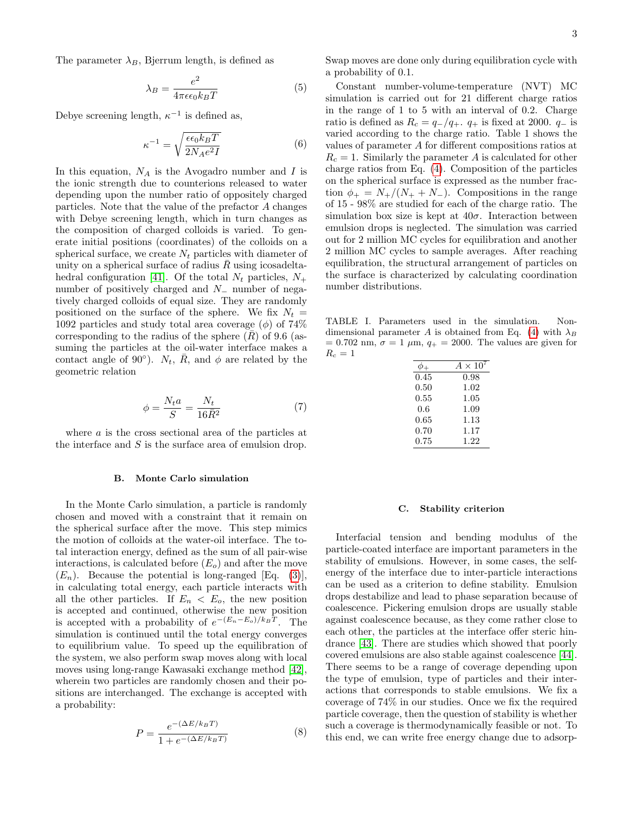The parameter  $\lambda_B$ , Bjerrum length, is defined as

$$
\lambda_B = \frac{e^2}{4\pi\epsilon\epsilon_0 k_B T} \tag{5}
$$

Debye screening length,  $\kappa^{-1}$  is defined as,

$$
\kappa^{-1} = \sqrt{\frac{\epsilon \epsilon_0 k_B T}{2N_A e^2 I}}\tag{6}
$$

In this equation,  $N_A$  is the Avogadro number and I is the ionic strength due to counterions released to water depending upon the number ratio of oppositely charged particles. Note that the value of the prefactor A changes with Debye screening length, which in turn changes as the composition of charged colloids is varied. To generate initial positions (coordinates) of the colloids on a spherical surface, we create  $N_t$  particles with diameter of unity on a spherical surface of radius  $\bar{R}$  using icosadelta-hedral configuration [\[41\]](#page-6-15). Of the total  $N_t$  particles,  $N_+$ number of positively charged and N<sub>−</sub> number of negatively charged colloids of equal size. They are randomly positioned on the surface of the sphere. We fix  $N_t =$ 1092 particles and study total area coverage  $(\phi)$  of 74% corresponding to the radius of the sphere  $(R)$  of 9.6 (assuming the particles at the oil-water interface makes a contact angle of 90 $^{\circ}$ ).  $N_t$ ,  $\overline{R}$ , and  $\phi$  are related by the geometric relation

$$
\phi = \frac{N_t a}{S} = \frac{N_t}{16\bar{R}^2} \tag{7}
$$

where a is the cross sectional area of the particles at the interface and S is the surface area of emulsion drop.

#### B. Monte Carlo simulation

In the Monte Carlo simulation, a particle is randomly chosen and moved with a constraint that it remain on the spherical surface after the move. This step mimics the motion of colloids at the water-oil interface. The total interaction energy, defined as the sum of all pair-wise interactions, is calculated before  $(E<sub>o</sub>)$  and after the move  $(E_n)$ . Because the potential is long-ranged [Eq. [\(3\)](#page-1-2)], in calculating total energy, each particle interacts with all the other particles. If  $E_n < E_o$ , the new position is accepted and continued, otherwise the new position is accepted with a probability of  $e^{-(E_n-E_o)/k_BT}$ . The simulation is continued until the total energy converges to equilibrium value. To speed up the equilibration of the system, we also perform swap moves along with local moves using long-range Kawasaki exchange method [\[42\]](#page-6-16), wherein two particles are randomly chosen and their positions are interchanged. The exchange is accepted with a probability:

$$
P = \frac{e^{-(\Delta E/k_B T)}}{1 + e^{-(\Delta E/k_B T)}}
$$
(8)

Swap moves are done only during equilibration cycle with a probability of 0.1.

Constant number-volume-temperature (NVT) MC simulation is carried out for 21 different charge ratios in the range of 1 to 5 with an interval of 0.2. Charge ratio is defined as  $R_c = q_{-}/q_{+}$ .  $q_{+}$  is fixed at 2000.  $q_{-}$  is varied according to the charge ratio. Table 1 shows the values of parameter A for different compositions ratios at  $R_c = 1$ . Similarly the parameter A is calculated for other charge ratios from Eq. [\(4\)](#page-1-3). Composition of the particles on the spherical surface is expressed as the number fraction  $\phi_+ = N_+/(N_+ + N_-)$ . Compositions in the range of 15 - 98% are studied for each of the charge ratio. The simulation box size is kept at  $40\sigma$ . Interaction between emulsion drops is neglected. The simulation was carried out for 2 million MC cycles for equilibration and another 2 million MC cycles to sample averages. After reaching equilibration, the structural arrangement of particles on the surface is characterized by calculating coordination number distributions.

TABLE I. Parameters used in the simulation. Non-dimensional parameter A is obtained from Eq. [\(4\)](#page-1-3) with  $\lambda_B$  $= 0.702$  nm,  $\sigma = 1 \mu m$ ,  $q_+ = 2000$ . The values are given for  $R_c=1$ 

|      | $A \times 10$ |
|------|---------------|
| 0.45 | 0.98          |
| 0.50 | 1.02          |
| 0.55 | 1.05          |
| 0.6  | 1.09          |
| 0.65 | 1.13          |
| 0.70 | 1.17          |
| 0.75 | 1.22          |

#### <span id="page-2-0"></span>C. Stability criterion

Interfacial tension and bending modulus of the particle-coated interface are important parameters in the stability of emulsions. However, in some cases, the selfenergy of the interface due to inter-particle interactions can be used as a criterion to define stability. Emulsion drops destabilize and lead to phase separation because of coalescence. Pickering emulsion drops are usually stable against coalescence because, as they come rather close to each other, the particles at the interface offer steric hindrance [\[43\]](#page-6-17). There are studies which showed that poorly covered emulsions are also stable against coalescence [\[44\]](#page-6-18). There seems to be a range of coverage depending upon the type of emulsion, type of particles and their interactions that corresponds to stable emulsions. We fix a coverage of 74% in our studies. Once we fix the required particle coverage, then the question of stability is whether such a coverage is thermodynamically feasible or not. To this end, we can write free energy change due to adsorp-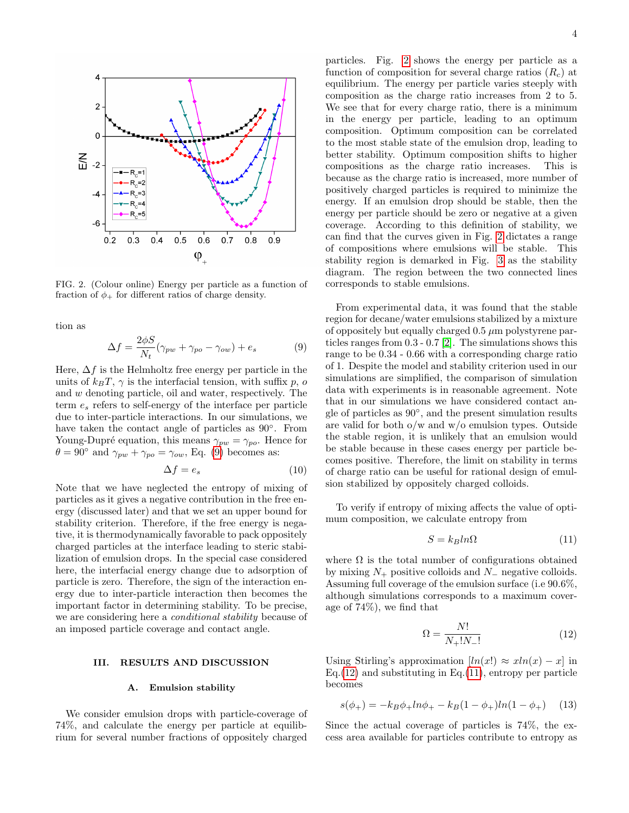

<span id="page-3-1"></span>FIG. 2. (Colour online) Energy per particle as a function of fraction of  $\phi_+$  for different ratios of charge density.

tion as

<span id="page-3-0"></span>
$$
\Delta f = \frac{2\phi S}{N_t} (\gamma_{pw} + \gamma_{po} - \gamma_{ow}) + e_s \tag{9}
$$

Here,  $\Delta f$  is the Helmholtz free energy per particle in the units of  $k_BT$ ,  $\gamma$  is the interfacial tension, with suffix p, o and w denoting particle, oil and water, respectively. The term  $e_s$  refers to self-energy of the interface per particle due to inter-particle interactions. In our simulations, we have taken the contact angle of particles as  $90^\circ$ . From Young-Dupré equation, this means  $\gamma_{pw} = \gamma_{po}$ . Hence for  $\theta = 90^{\circ}$  and  $\gamma_{pw} + \gamma_{po} = \gamma_{ow}$ , Eq. [\(9\)](#page-3-0) becomes as:

$$
\Delta f = e_s \tag{10}
$$

Note that we have neglected the entropy of mixing of particles as it gives a negative contribution in the free energy (discussed later) and that we set an upper bound for stability criterion. Therefore, if the free energy is negative, it is thermodynamically favorable to pack oppositely charged particles at the interface leading to steric stabilization of emulsion drops. In the special case considered here, the interfacial energy change due to adsorption of particle is zero. Therefore, the sign of the interaction energy due to inter-particle interaction then becomes the important factor in determining stability. To be precise, we are considering here a conditional stability because of an imposed particle coverage and contact angle.

### III. RESULTS AND DISCUSSION

#### A. Emulsion stability

We consider emulsion drops with particle-coverage of 74%, and calculate the energy per particle at equilibrium for several number fractions of oppositely charged

particles. Fig. [2](#page-3-1) shows the energy per particle as a function of composition for several charge ratios  $(R_c)$  at equilibrium. The energy per particle varies steeply with composition as the charge ratio increases from 2 to 5. We see that for every charge ratio, there is a minimum in the energy per particle, leading to an optimum composition. Optimum composition can be correlated to the most stable state of the emulsion drop, leading to better stability. Optimum composition shifts to higher compositions as the charge ratio increases. This is because as the charge ratio is increased, more number of positively charged particles is required to minimize the energy. If an emulsion drop should be stable, then the energy per particle should be zero or negative at a given coverage. According to this definition of stability, we can find that the curves given in Fig. [2](#page-3-1) dictates a range of compositions where emulsions will be stable. This stability region is demarked in Fig. [3](#page-4-0) as the stability diagram. The region between the two connected lines corresponds to stable emulsions.

From experimental data, it was found that the stable region for decane/water emulsions stabilized by a mixture of oppositely but equally charged  $0.5 \mu m$  polystyrene particles ranges from 0.3 - 0.7 [\[2\]](#page-5-13). The simulations shows this range to be 0.34 - 0.66 with a corresponding charge ratio of 1. Despite the model and stability criterion used in our simulations are simplified, the comparison of simulation data with experiments is in reasonable agreement. Note that in our simulations we have considered contact angle of particles as 90◦ , and the present simulation results are valid for both o/w and w/o emulsion types. Outside the stable region, it is unlikely that an emulsion would be stable because in these cases energy per particle becomes positive. Therefore, the limit on stability in terms of charge ratio can be useful for rational design of emulsion stabilized by oppositely charged colloids.

To verify if entropy of mixing affects the value of optimum composition, we calculate entropy from

<span id="page-3-3"></span>
$$
S = k_B ln \Omega \tag{11}
$$

where  $\Omega$  is the total number of configurations obtained by mixing  $N_+$  positive colloids and  $N_-$  negative colloids. Assuming full coverage of the emulsion surface (i.e 90.6%, although simulations corresponds to a maximum coverage of 74%), we find that

<span id="page-3-2"></span>
$$
\Omega = \frac{N!}{N_+! N_-!}
$$
\n(12)

Using Stirling's approximation  $[ln(x)] \approx xln(x) - x$  in  $Eq.(12)$  $Eq.(12)$  and substituting in Eq. $(11)$ , entropy per particle becomes

$$
s(\phi_+) = -k_B \phi_+ \ln \phi_+ - k_B (1 - \phi_+) \ln (1 - \phi_+) \tag{13}
$$

Since the actual coverage of particles is 74%, the excess area available for particles contribute to entropy as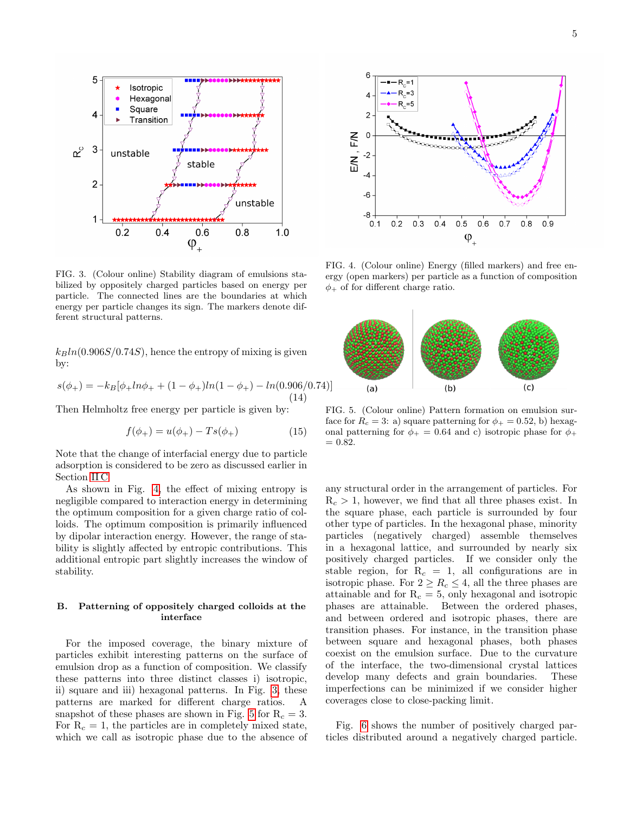

<span id="page-4-0"></span>FIG. 3. (Colour online) Stability diagram of emulsions stabilized by oppositely charged particles based on energy per particle. The connected lines are the boundaries at which energy per particle changes its sign. The markers denote different structural patterns.

 $k_Bln(0.906S/0.74S)$ , hence the entropy of mixing is given by:

$$
s(\phi_+) = -k_B[\phi_+ \ln \phi_+ + (1 - \phi_+) \ln (1 - \phi_+) - \ln (0.906/0.74)]
$$
\n(14)

Then Helmholtz free energy per particle is given by:

$$
f(\phi_+) = u(\phi_+) - Ts(\phi_+) \tag{15}
$$

Note that the change of interfacial energy due to particle adsorption is considered to be zero as discussed earlier in Section [II C](#page-2-0)

As shown in Fig. [4,](#page-4-1) the effect of mixing entropy is negligible compared to interaction energy in determining the optimum composition for a given charge ratio of colloids. The optimum composition is primarily influenced by dipolar interaction energy. However, the range of stability is slightly affected by entropic contributions. This additional entropic part slightly increases the window of stability.

## B. Patterning of oppositely charged colloids at the interface

For the imposed coverage, the binary mixture of particles exhibit interesting patterns on the surface of emulsion drop as a function of composition. We classify these patterns into three distinct classes i) isotropic, ii) square and iii) hexagonal patterns. In Fig. [3,](#page-4-0) these patterns are marked for different charge ratios. A snapshot of these phases are shown in Fig. [5](#page-4-2) for  $R_c = 3$ . For  $R_c = 1$ , the particles are in completely mixed state, which we call as isotropic phase due to the absence of



<span id="page-4-1"></span>FIG. 4. (Colour online) Energy (filled markers) and free energy (open markers) per particle as a function of composition  $\phi_+$  of for different charge ratio.



<span id="page-4-2"></span>FIG. 5. (Colour online) Pattern formation on emulsion surface for  $R_c = 3$ : a) square patterning for  $\phi_+ = 0.52$ , b) hexagonal patterning for  $\phi_+ = 0.64$  and c) isotropic phase for  $\phi_+$  $= 0.82.$ 

any structural order in the arrangement of particles. For  $R_c > 1$ , however, we find that all three phases exist. In the square phase, each particle is surrounded by four other type of particles. In the hexagonal phase, minority particles (negatively charged) assemble themselves in a hexagonal lattice, and surrounded by nearly six positively charged particles. If we consider only the stable region, for  $R_c = 1$ , all configurations are in isotropic phase. For  $2 \geq R_c \leq 4$ , all the three phases are attainable and for  $R_c = 5$ , only hexagonal and isotropic phases are attainable. Between the ordered phases, and between ordered and isotropic phases, there are transition phases. For instance, in the transition phase between square and hexagonal phases, both phases coexist on the emulsion surface. Due to the curvature of the interface, the two-dimensional crystal lattices develop many defects and grain boundaries. These imperfections can be minimized if we consider higher coverages close to close-packing limit.

Fig. [6](#page-5-14) shows the number of positively charged particles distributed around a negatively charged particle.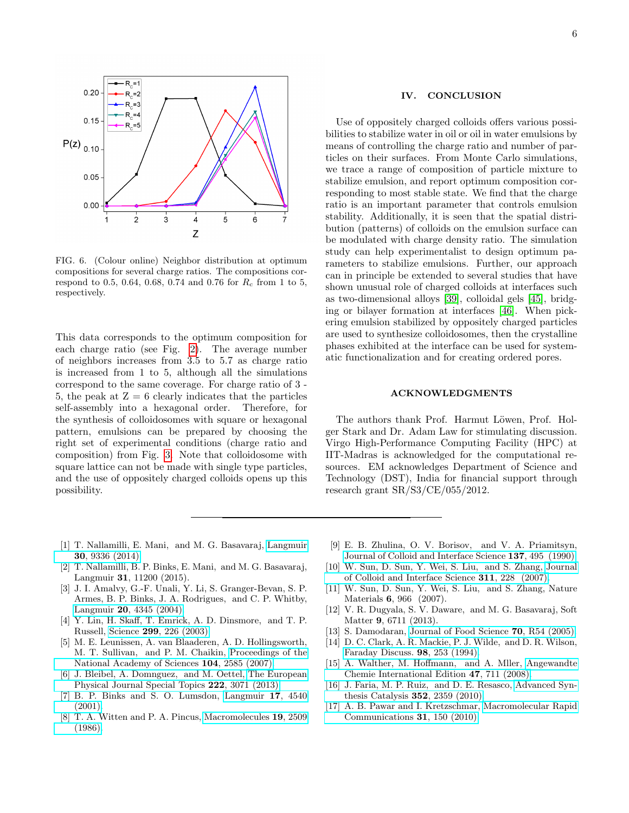

<span id="page-5-14"></span>FIG. 6. (Colour online) Neighbor distribution at optimum compositions for several charge ratios. The compositions correspond to 0.5, 0.64, 0.68, 0.74 and 0.76 for  $R_c$  from 1 to 5, respectively.

This data corresponds to the optimum composition for each charge ratio (see Fig. [2\)](#page-3-1). The average number of neighbors increases from 3.5 to 5.7 as charge ratio is increased from 1 to 5, although all the simulations correspond to the same coverage. For charge ratio of 3 - 5, the peak at  $Z = 6$  clearly indicates that the particles self-assembly into a hexagonal order. Therefore, for the synthesis of colloidosomes with square or hexagonal pattern, emulsions can be prepared by choosing the right set of experimental conditions (charge ratio and composition) from Fig. [3.](#page-4-0) Note that colloidosome with square lattice can not be made with single type particles, and the use of oppositely charged colloids opens up this possibility.

## IV. CONCLUSION

Use of oppositely charged colloids offers various possibilities to stabilize water in oil or oil in water emulsions by means of controlling the charge ratio and number of particles on their surfaces. From Monte Carlo simulations, we trace a range of composition of particle mixture to stabilize emulsion, and report optimum composition corresponding to most stable state. We find that the charge ratio is an important parameter that controls emulsion stability. Additionally, it is seen that the spatial distribution (patterns) of colloids on the emulsion surface can be modulated with charge density ratio. The simulation study can help experimentalist to design optimum parameters to stabilize emulsions. Further, our approach can in principle be extended to several studies that have shown unusual role of charged colloids at interfaces such as two-dimensional alloys [\[39\]](#page-6-19), colloidal gels [\[45\]](#page-6-20), bridging or bilayer formation at interfaces [\[46\]](#page-6-21). When pickering emulsion stabilized by oppositely charged particles are used to synthesize colloidosomes, then the crystalline phases exhibited at the interface can be used for systematic functionalization and for creating ordered pores.

## ACKNOWLEDGMENTS

The authors thank Prof. Harmut Löwen, Prof. Holger Stark and Dr. Adam Law for stimulating discussion. Virgo High-Performance Computing Facility (HPC) at IIT-Madras is acknowledged for the computational resources. EM acknowledges Department of Science and Technology (DST), India for financial support through research grant SR/S3/CE/055/2012.

- <span id="page-5-0"></span>[1] T. Nallamilli, E. Mani, and M. G. Basavaraj, [Langmuir](http://dx.doi.org/10.1021/la501785y) 30[, 9336 \(2014\).](http://dx.doi.org/10.1021/la501785y)
- <span id="page-5-13"></span>[2] T. Nallamilli, B. P. Binks, E. Mani, and M. G. Basavaraj, Langmuir 31, 11200 (2015).
- <span id="page-5-2"></span>[3] J. I. Amalvy, G.-F. Unali, Y. Li, S. Granger-Bevan, S. P. Armes, B. P. Binks, J. A. Rodrigues, and C. P. Whitby, Langmuir 20[, 4345 \(2004\).](http://dx.doi.org/ 10.1021/la035921c)
- [4] Y. Lin, H. Skaff, T. Emrick, A. D. Dinsmore, and T. P. Russell, Science 299[, 226 \(2003\).](http://dx.doi.org/ 10.1126/science.1078616)
- [5] M. E. Leunissen, A. van Blaaderen, A. D. Hollingsworth, M. T. Sullivan, and P. M. Chaikin, [Proceedings of the](http://dx.doi.org/10.1073/pnas.0610589104) [National Academy of Sciences](http://dx.doi.org/10.1073/pnas.0610589104) 104, 2585 (2007).
- <span id="page-5-1"></span>[6] J. Bleibel, A. Domnguez, and M. Oettel, [The European](http://dx.doi.org/10.1140/epjst/e2013-02076-9) [Physical Journal Special Topics](http://dx.doi.org/10.1140/epjst/e2013-02076-9) 222, 3071 (2013).
- <span id="page-5-3"></span>[7] B. P. Binks and S. O. Lumsdon, [Langmuir](http://dx.doi.org/10.1021/la0103822) 17, 4540 [\(2001\).](http://dx.doi.org/10.1021/la0103822)
- [8] T. A. Witten and P. A. Pincus, [Macromolecules](http://dx.doi.org/10.1021/ma00164a009) 19, 2509 [\(1986\).](http://dx.doi.org/10.1021/ma00164a009)
- <span id="page-5-4"></span>[9] E. B. Zhulina, O. V. Borisov, and V. A. Priamitsyn, [Journal of Colloid and Interface Science](http://dx.doi.org/ http://dx.doi.org/10.1016/0021-9797(90)90423-L) 137, 495 (1990).
- <span id="page-5-5"></span>[10] W. Sun, D. Sun, Y. Wei, S. Liu, and S. Zhang, [Journal](http://dx.doi.org/ http://dx.doi.org/10.1016/j.jcis.2007.02.082) [of Colloid and Interface Science](http://dx.doi.org/ http://dx.doi.org/10.1016/j.jcis.2007.02.082) 311, 228 (2007).
- <span id="page-5-6"></span>[11] W. Sun, D. Sun, Y. Wei, S. Liu, and S. Zhang, Nature Materials 6, 966 (2007).
- <span id="page-5-7"></span>[12] V. R. Dugyala, S. V. Daware, and M. G. Basavaraj, Soft Matter 9, 6711 (2013).
- <span id="page-5-8"></span>[13] S. Damodaran, [Journal of Food Science](http://dx.doi.org/10.1111/j.1365-2621.2005.tb07150.x) **70**, R54 (2005).
- <span id="page-5-9"></span>[14] D. C. Clark, A. R. Mackie, P. J. Wilde, and D. R. Wilson, [Faraday Discuss.](http://dx.doi.org/10.1039/FD9949800253) 98, 253 (1994).
- <span id="page-5-10"></span>[15] A. Walther, M. Hoffmann, and A. Mller, [Angewandte](http://dx.doi.org/10.1002/anie.200703224) [Chemie International Edition](http://dx.doi.org/10.1002/anie.200703224) 47, 711 (2008).
- <span id="page-5-11"></span>[16] J. Faria, M. P. Ruiz, and D. E. Resasco, [Advanced Syn](http://dx.doi.org/10.1002/adsc.201000479)[thesis Catalysis](http://dx.doi.org/10.1002/adsc.201000479) 352, 2359 (2010).
- <span id="page-5-12"></span>[17] A. B. Pawar and I. Kretzschmar, [Macromolecular Rapid](http://dx.doi.org/10.1002/marc.200900614) [Communications](http://dx.doi.org/10.1002/marc.200900614) 31, 150 (2010).